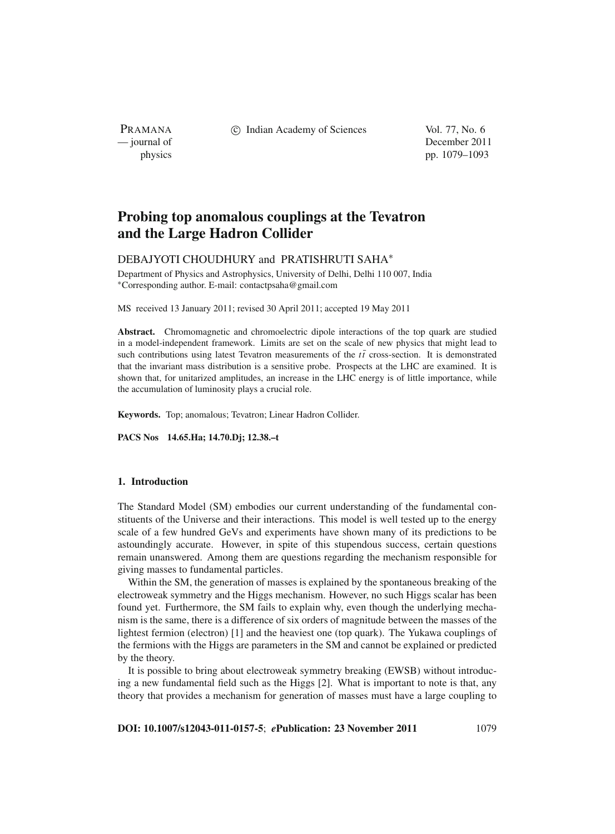PRAMANA

c Indian Academy of Sciences Vol. 77, No. 6

— journal of December 2011 physics pp. 1079–1093

# **Probing top anomalous couplings at the Tevatron and the Large Hadron Collider**

# DEBAJYOTI CHOUDHURY and PRATISHRUTI SAHA<sup>∗</sup>

Department of Physics and Astrophysics, University of Delhi, Delhi 110 007, India <sup>∗</sup>Corresponding author. E-mail: contactpsaha@gmail.com

MS received 13 January 2011; revised 30 April 2011; accepted 19 May 2011

**Abstract.** Chromomagnetic and chromoelectric dipole interactions of the top quark are studied in a model-independent framework. Limits are set on the scale of new physics that might lead to such contributions using latest Tevatron measurements of the  $t\bar{t}$  cross-section. It is demonstrated that the invariant mass distribution is a sensitive probe. Prospects at the LHC are examined. It is shown that, for unitarized amplitudes, an increase in the LHC energy is of little importance, while the accumulation of luminosity plays a crucial role.

**Keywords.** Top; anomalous; Tevatron; Linear Hadron Collider.

**PACS Nos 14.65.Ha; 14.70.Dj; 12.38.–t**

# **1. Introduction**

The Standard Model (SM) embodies our current understanding of the fundamental constituents of the Universe and their interactions. This model is well tested up to the energy scale of a few hundred GeVs and experiments have shown many of its predictions to be astoundingly accurate. However, in spite of this stupendous success, certain questions remain unanswered. Among them are questions regarding the mechanism responsible for giving masses to fundamental particles.

Within the SM, the generation of masses is explained by the spontaneous breaking of the electroweak symmetry and the Higgs mechanism. However, no such Higgs scalar has been found yet. Furthermore, the SM fails to explain why, even though the underlying mechanism is the same, there is a difference of six orders of magnitude between the masses of the lightest fermion (electron) [1] and the heaviest one (top quark). The Yukawa couplings of the fermions with the Higgs are parameters in the SM and cannot be explained or predicted by the theory.

It is possible to bring about electroweak symmetry breaking (EWSB) without introducing a new fundamental field such as the Higgs [2]. What is important to note is that, any theory that provides a mechanism for generation of masses must have a large coupling to

**DOI: 10.1007/s12043-011-0157-5**; *e***Publication: 23 November 2011** 1079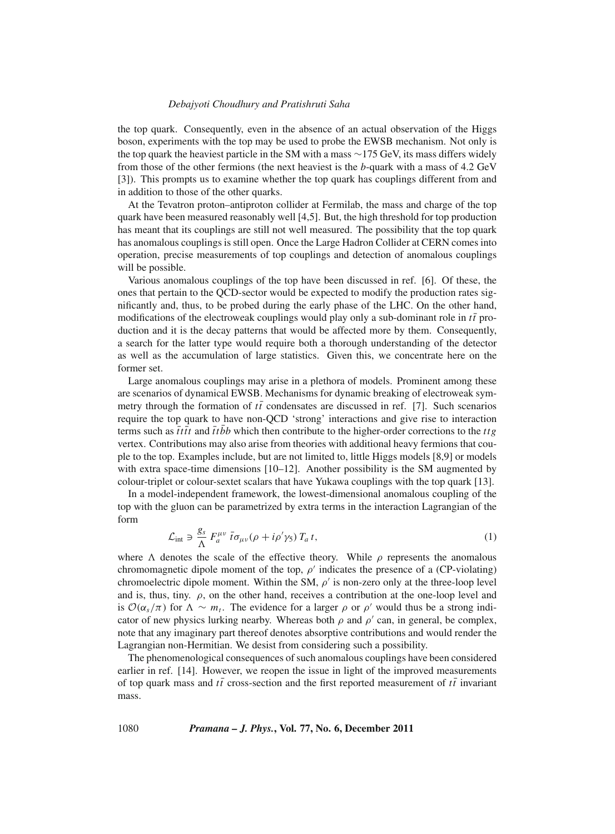the top quark. Consequently, even in the absence of an actual observation of the Higgs boson, experiments with the top may be used to probe the EWSB mechanism. Not only is the top quark the heaviest particle in the SM with a mass ∼175 GeV, its mass differs widely from those of the other fermions (the next heaviest is the *b*-quark with a mass of 4.2 GeV [3]). This prompts us to examine whether the top quark has couplings different from and in addition to those of the other quarks.

At the Tevatron proton–antiproton collider at Fermilab, the mass and charge of the top quark have been measured reasonably well [4,5]. But, the high threshold for top production has meant that its couplings are still not well measured. The possibility that the top quark has anomalous couplings is still open. Once the Large Hadron Collider at CERN comes into operation, precise measurements of top couplings and detection of anomalous couplings will be possible.

Various anomalous couplings of the top have been discussed in ref. [6]. Of these, the ones that pertain to the QCD-sector would be expected to modify the production rates significantly and, thus, to be probed during the early phase of the LHC. On the other hand, modifications of the electroweak couplings would play only a sub-dominant role in  $t\bar{t}$  production and it is the decay patterns that would be affected more by them. Consequently, a search for the latter type would require both a thorough understanding of the detector as well as the accumulation of large statistics. Given this, we concentrate here on the former set.

Large anomalous couplings may arise in a plethora of models. Prominent among these are scenarios of dynamical EWSB. Mechanisms for dynamic breaking of electroweak symmetry through the formation of  $t\bar{t}$  condensates are discussed in ref. [7]. Such scenarios require the top quark to have non-QCD 'strong' interactions and give rise to interaction terms such as *tttt* and *ttbb* which then contribute to the higher-order corrections to the *ttg* vertex. Contributions may also arise from theories with additional heavy fermions that couple to the top. Examples include, but are not limited to, little Higgs models [8,9] or models with extra space-time dimensions [10–12]. Another possibility is the SM augmented by colour-triplet or colour-sextet scalars that have Yukawa couplings with the top quark [13].

In a model-independent framework, the lowest-dimensional anomalous coupling of the top with the gluon can be parametrized by extra terms in the interaction Lagrangian of the form

$$
\mathcal{L}_{int} \ni \frac{g_s}{\Lambda} F_a^{\mu\nu} \bar{t} \sigma_{\mu\nu} (\rho + i \rho' \gamma_5) T_a t, \tag{1}
$$

where  $\Lambda$  denotes the scale of the effective theory. While  $\rho$  represents the anomalous chromomagnetic dipole moment of the top,  $\rho'$  indicates the presence of a (CP-violating) chromoelectric dipole moment. Within the SM,  $\rho'$  is non-zero only at the three-loop level and is, thus, tiny.  $\rho$ , on the other hand, receives a contribution at the one-loop level and is  $\mathcal{O}(\alpha_s/\pi)$  for  $\Lambda \sim m_t$ . The evidence for a larger  $\rho$  or  $\rho'$  would thus be a strong indicator of new physics lurking nearby. Whereas both  $\rho$  and  $\rho'$  can, in general, be complex, note that any imaginary part thereof denotes absorptive contributions and would render the Lagrangian non-Hermitian. We desist from considering such a possibility.

The phenomenological consequences of such anomalous couplings have been considered earlier in ref. [14]. However, we reopen the issue in light of the improved measurements of top quark mass and  $t\bar{t}$  cross-section and the first reported measurement of  $t\bar{t}$  invariant mass.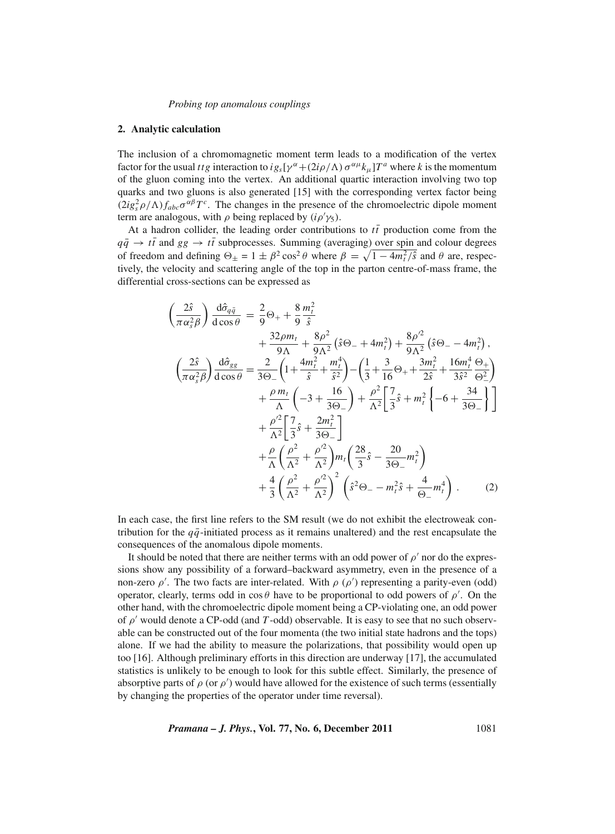### **2. Analytic calculation**

The inclusion of a chromomagnetic moment term leads to a modification of the vertex factor for the usual *ttg* interaction to  $ig_s[\gamma^\alpha + (2i\rho/\Lambda)\sigma^{\alpha\mu}k_\mu]T^a$  where *k* is the momentum of the gluon coming into the vertex. An additional quartic interaction involving two top quarks and two gluons is also generated [15] with the corresponding vertex factor being  $(2ig_s^2 \rho/\Lambda) f_{abc} \sigma^{\alpha\beta} T^c$ . The changes in the presence of the chromoelectric dipole moment term are analogous, with  $\rho$  being replaced by  $(i\rho' \gamma_5)$ .

At a hadron collider, the leading order contributions to  $t\bar{t}$  production come from the  $q\bar{q} \rightarrow t\bar{t}$  and  $gg \rightarrow t\bar{t}$  subprocesses. Summing (averaging) over spin and colour degrees of freedom and defining  $\Theta_{\pm} = 1 \pm \beta^2 \cos^2 \theta$  where  $\beta = \sqrt{1 - 4m_t^2/\hat{s}}$  and  $\theta$  are, respectively, the velocity and scattering angle of the top in the parton centre-of-mass frame, the differential cross-sections can be expressed as

$$
\left(\frac{2\hat{s}}{\pi\alpha_s^2\beta}\right)\frac{d\hat{\sigma}_{q\bar{q}}}{d\cos\theta} = \frac{2}{9}\Theta_+ + \frac{8}{9}\frac{m_t^2}{\hat{s}} \n+ \frac{32\rho m_t}{9\Lambda} + \frac{8\rho^2}{9\Lambda^2}(\hat{s}\Theta_- + 4m_t^2) + \frac{8\rho'^2}{9\Lambda^2}(\hat{s}\Theta_- - 4m_t^2), \n\left(\frac{2\hat{s}}{\pi\alpha_s^2\beta}\right)\frac{d\hat{\sigma}_{gg}}{d\cos\theta} = \frac{2}{3\Theta_-}\left(1 + \frac{4m_t^2}{\hat{s}} + \frac{m_t^4}{\hat{s}^2}\right) - \left(\frac{1}{3} + \frac{3}{16}\Theta_+ + \frac{3m_t^2}{2\hat{s}} + \frac{16m_t^4}{3\hat{s}^2}\frac{\Theta_+}{\Theta_-^2}\right) \n+ \frac{\rho m_t}{\Lambda}\left(-3 + \frac{16}{3\Theta_-}\right) + \frac{\rho^2}{\Lambda^2}\left[\frac{7}{3}\hat{s} + m_t^2\left\{-6 + \frac{34}{3\Theta_-}\right\}\right] \n+ \frac{\rho'^2}{\Lambda^2}\left[\frac{7}{3}\hat{s} + \frac{2m_t^2}{3\Theta_-}\right] \n+ \frac{\rho}{\Lambda}\left(\frac{\rho^2}{\Lambda^2} + \frac{\rho'^2}{\Lambda^2}\right)m_t\left(\frac{28}{3}\hat{s} - \frac{20}{3\Theta_-}m_t^2\right) \n+ \frac{4}{3}\left(\frac{\rho^2}{\Lambda^2} + \frac{\rho'^2}{\Lambda^2}\right)^2\left(\hat{s}^2\Theta_- - m_t^2\hat{s} + \frac{4}{\Theta_-}m_t^4\right). \tag{2}
$$

In each case, the first line refers to the SM result (we do not exhibit the electroweak contribution for the  $q\bar{q}$ -initiated process as it remains unaltered) and the rest encapsulate the consequences of the anomalous dipole moments.

It should be noted that there are neither terms with an odd power of  $\rho'$  nor do the expressions show any possibility of a forward–backward asymmetry, even in the presence of a non-zero  $\rho'$ . The two facts are inter-related. With  $\rho$  ( $\rho'$ ) representing a parity-even (odd) operator, clearly, terms odd in  $\cos \theta$  have to be proportional to odd powers of  $\rho'$ . On the other hand, with the chromoelectric dipole moment being a CP-violating one, an odd power of  $\rho'$  would denote a CP-odd (and *T*-odd) observable. It is easy to see that no such observable can be constructed out of the four momenta (the two initial state hadrons and the tops) alone. If we had the ability to measure the polarizations, that possibility would open up too [16]. Although preliminary efforts in this direction are underway [17], the accumulated statistics is unlikely to be enough to look for this subtle effect. Similarly, the presence of absorptive parts of  $\rho$  (or  $\rho'$ ) would have allowed for the existence of such terms (essentially by changing the properties of the operator under time reversal).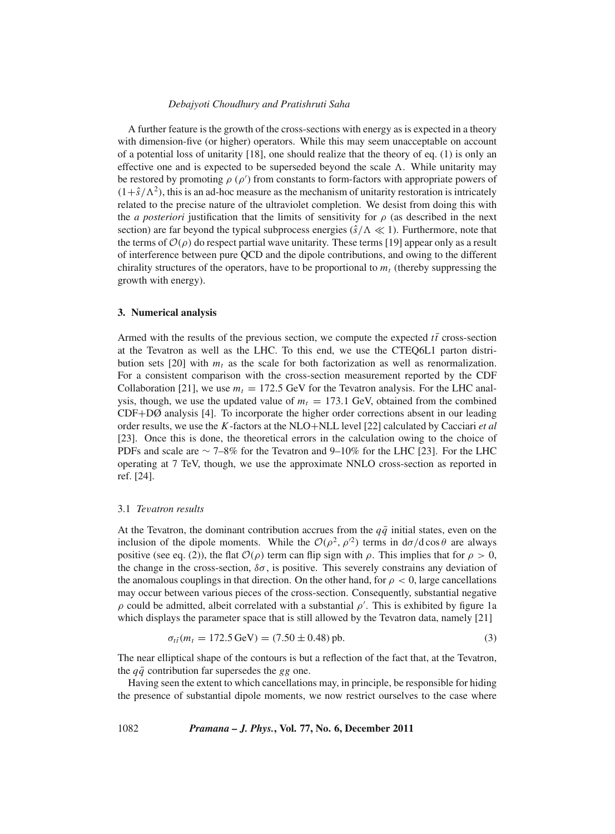A further feature is the growth of the cross-sections with energy as is expected in a theory with dimension-five (or higher) operators. While this may seem unacceptable on account of a potential loss of unitarity [18], one should realize that the theory of eq. (1) is only an effective one and is expected to be superseded beyond the scale  $\Lambda$ . While unitarity may be restored by promoting  $\rho$  ( $\rho'$ ) from constants to form-factors with appropriate powers of  $(1+\hat{s}/\Lambda^2)$ , this is an ad-hoc measure as the mechanism of unitarity restoration is intricately related to the precise nature of the ultraviolet completion. We desist from doing this with the *a posteriori* justification that the limits of sensitivity for  $\rho$  (as described in the next section) are far beyond the typical subprocess energies  $(\hat{s}/\Lambda \ll 1)$ . Furthermore, note that the terms of  $\mathcal{O}(\rho)$  do respect partial wave unitarity. These terms [19] appear only as a result of interference between pure QCD and the dipole contributions, and owing to the different chirality structures of the operators, have to be proportional to  $m_t$  (thereby suppressing the growth with energy).

### **3. Numerical analysis**

Armed with the results of the previous section, we compute the expected  $t\bar{t}$  cross-section at the Tevatron as well as the LHC. To this end, we use the CTEQ6L1 parton distribution sets  $[20]$  with  $m_t$  as the scale for both factorization as well as renormalization. For a consistent comparison with the cross-section measurement reported by the CDF Collaboration [21], we use  $m_t = 172.5$  GeV for the Tevatron analysis. For the LHC analysis, though, we use the updated value of  $m_t = 173.1$  GeV, obtained from the combined CDF+DØ analysis [4]. To incorporate the higher order corrections absent in our leading order results, we use the *K*-factors at the NLO+NLL level [22] calculated by Cacciari *et al* [23]. Once this is done, the theoretical errors in the calculation owing to the choice of PDFs and scale are ∼ 7–8% for the Tevatron and 9–10% for the LHC [23]. For the LHC operating at 7 TeV, though, we use the approximate NNLO cross-section as reported in ref. [24].

### 3.1 *Te*v*atron results*

At the Tevatron, the dominant contribution accrues from the  $q\bar{q}$  initial states, even on the inclusion of the dipole moments. While the  $\mathcal{O}(\rho^2, \rho^2)$  terms in d $\sigma/d \cos \theta$  are always positive (see eq. (2)), the flat  $\mathcal{O}(\rho)$  term can flip sign with  $\rho$ . This implies that for  $\rho > 0$ , the change in the cross-section,  $\delta\sigma$ , is positive. This severely constrains any deviation of the anomalous couplings in that direction. On the other hand, for  $\rho < 0$ , large cancellations may occur between various pieces of the cross-section. Consequently, substantial negative  $\rho$  could be admitted, albeit correlated with a substantial  $\rho'$ . This is exhibited by figure 1a which displays the parameter space that is still allowed by the Tevatron data, namely [21]

$$
\sigma_{t\bar{t}}(m_t = 172.5 \,\text{GeV}) = (7.50 \pm 0.48) \,\text{pb}.\tag{3}
$$

The near elliptical shape of the contours is but a reflection of the fact that, at the Tevatron, the  $q\bar{q}$  contribution far supersedes the *gg* one.

Having seen the extent to which cancellations may, in principle, be responsible for hiding the presence of substantial dipole moments, we now restrict ourselves to the case where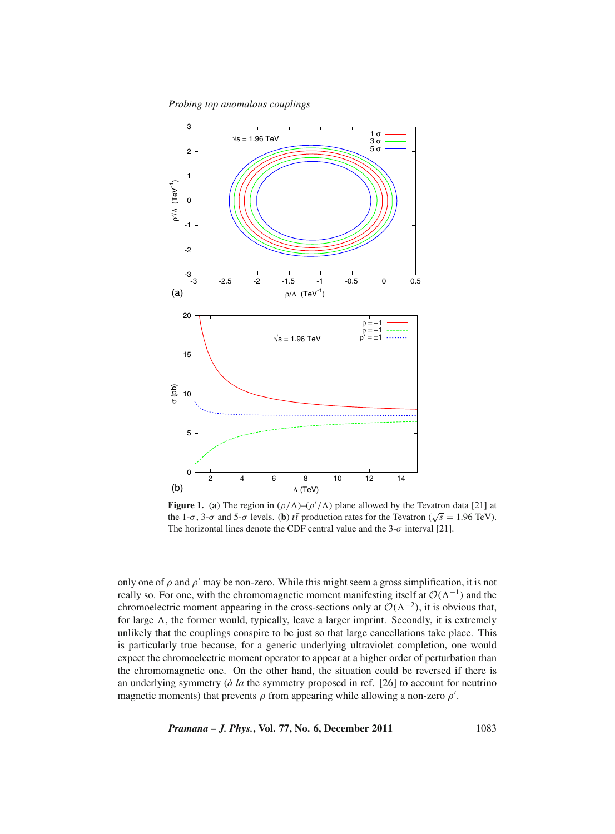*Probing top anomalous couplings*



**Figure 1.** (a) The region in  $(\rho/\Lambda)$ – $(\rho'/\Lambda)$  plane allowed by the Tevatron data [21] at **Example 1.** (**a**) The region in  $(\frac{p}{\Delta})-(\frac{p}{\Delta})$  plane anowed by the Tevatron ( $\sqrt{s} = 1.96$  TeV). The horizontal lines denote the CDF central value and the  $3-\sigma$  interval [21].

only one of  $\rho$  and  $\rho'$  may be non-zero. While this might seem a gross simplification, it is not really so. For one, with the chromomagnetic moment manifesting itself at  $O(\Lambda^{-1})$  and the chromoelectric moment appearing in the cross-sections only at  $O(\Lambda^{-2})$ , it is obvious that, for large  $\Lambda$ , the former would, typically, leave a larger imprint. Secondly, it is extremely unlikely that the couplings conspire to be just so that large cancellations take place. This is particularly true because, for a generic underlying ultraviolet completion, one would expect the chromoelectric moment operator to appear at a higher order of perturbation than the chromomagnetic one. On the other hand, the situation could be reversed if there is an underlying symmetry (*à la* the symmetry proposed in ref. [26] to account for neutrino magnetic moments) that prevents  $\rho$  from appearing while allowing a non-zero  $\rho'$ .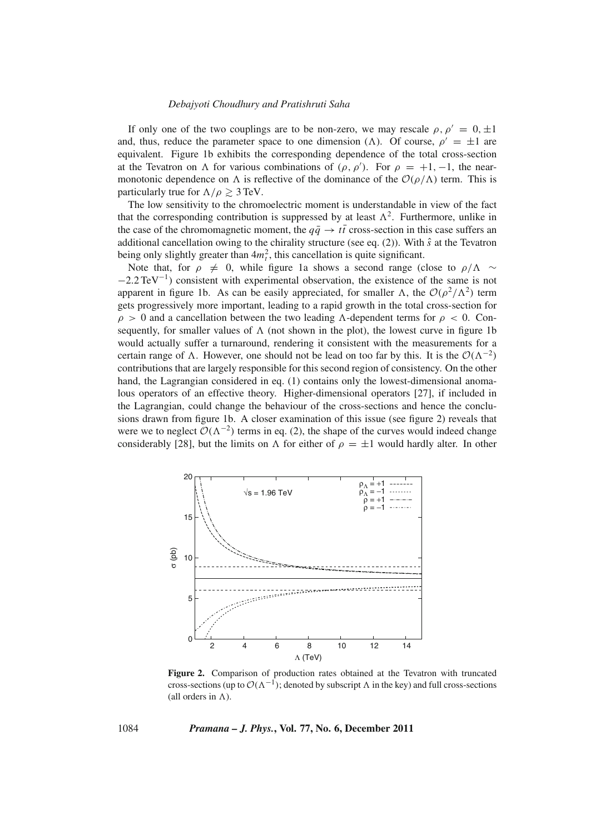If only one of the two couplings are to be non-zero, we may rescale  $\rho$ ,  $\rho' = 0, \pm 1$ and, thus, reduce the parameter space to one dimension ( $\Lambda$ ). Of course,  $\rho' = \pm 1$  are equivalent. Figure 1b exhibits the corresponding dependence of the total cross-section at the Tevatron on  $\Lambda$  for various combinations of  $(\rho, \rho')$ . For  $\rho = +1, -1$ , the nearmonotonic dependence on  $\Lambda$  is reflective of the dominance of the  $\mathcal{O}(\rho/\Lambda)$  term. This is particularly true for  $\Lambda/\rho \gtrsim 3$  TeV.

The low sensitivity to the chromoelectric moment is understandable in view of the fact that the corresponding contribution is suppressed by at least  $\Lambda^2$ . Furthermore, unlike in the case of the chromomagnetic moment, the  $q\bar{q} \rightarrow t\bar{t}$  cross-section in this case suffers an additional cancellation owing to the chirality structure (see eq. (2)). With *s*ˆ at the Tevatron being only slightly greater than  $4m_t^2$ , this cancellation is quite significant.

Note that, for  $\rho \neq 0$ , while figure 1a shows a second range (close to  $\rho/\Lambda \sim$  $-2.2$  TeV<sup>-1</sup>) consistent with experimental observation, the existence of the same is not apparent in figure 1b. As can be easily appreciated, for smaller  $\Lambda$ , the  $\mathcal{O}(\rho^2/\Lambda^2)$  term gets progressively more important, leading to a rapid growth in the total cross-section for  $\rho > 0$  and a cancellation between the two leading  $\Lambda$ -dependent terms for  $\rho < 0$ . Consequently, for smaller values of  $\Lambda$  (not shown in the plot), the lowest curve in figure 1b would actually suffer a turnaround, rendering it consistent with the measurements for a certain range of  $\Lambda$ . However, one should not be lead on too far by this. It is the  $\mathcal{O}(\Lambda^{-2})$ contributions that are largely responsible for this second region of consistency. On the other hand, the Lagrangian considered in eq. (1) contains only the lowest-dimensional anomalous operators of an effective theory. Higher-dimensional operators [27], if included in the Lagrangian, could change the behaviour of the cross-sections and hence the conclusions drawn from figure 1b. A closer examination of this issue (see figure 2) reveals that were we to neglect  $O(\Lambda^{-2})$  terms in eq. (2), the shape of the curves would indeed change considerably [28], but the limits on  $\Lambda$  for either of  $\rho = \pm 1$  would hardly alter. In other



**Figure 2.** Comparison of production rates obtained at the Tevatron with truncated cross-sections (up to  $\mathcal{O}(\Lambda^{-1})$ ; denoted by subscript  $\Lambda$  in the key) and full cross-sections (all orders in  $\Lambda$ ).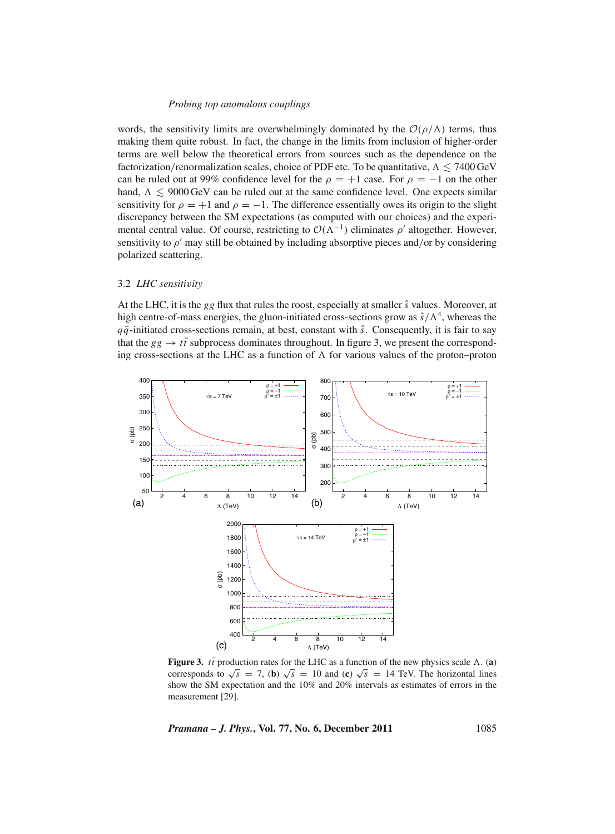words, the sensitivity limits are overwhelmingly dominated by the  $\mathcal{O}(\rho/\Lambda)$  terms, thus making them quite robust. In fact, the change in the limits from inclusion of higher-order terms are well below the theoretical errors from sources such as the dependence on the factorization/renormalization scales, choice of PDF etc. To be quantitative,  $\Lambda \lesssim 7400\,{\rm GeV}$ can be ruled out at 99% confidence level for the  $\rho = +1$  case. For  $\rho = -1$  on the other hand,  $\Lambda \leq 9000 \,\text{GeV}$  can be ruled out at the same confidence level. One expects similar sensitivity for  $\rho = +1$  and  $\rho = -1$ . The difference essentially owes its origin to the slight discrepancy between the SM expectations (as computed with our choices) and the experimental central value. Of course, restricting to  $O(\Lambda^{-1})$  eliminates  $\rho'$  altogether. However, sensitivity to  $\rho'$  may still be obtained by including absorptive pieces and/or by considering polarized scattering.

# 3.2 *LHC sensiti*v*ity*

At the LHC, it is the *gg* flux that rules the roost, especially at smaller *s*ˆ values. Moreover, at high centre-of-mass energies, the gluon-initiated cross-sections grow as  $\hat{s}/\Lambda^4$ , whereas the  $q\bar{q}$ -initiated cross-sections remain, at best, constant with  $\hat{s}$ . Consequently, it is fair to say that the  $gg \to t\bar{t}$  subprocess dominates throughout. In figure 3, we present the corresponding cross-sections at the LHC as a function of  $\Lambda$  for various values of the proton–proton



**Figure 3.**  $t\bar{t}$  production rates for the LHC as a function of the new physics scale  $\Lambda$ . (a) **corresponds to**  $\sqrt{s}$  = 7, (**b**)  $\sqrt{s}$  = 10 and (**c**)  $\sqrt{s}$  = 14 TeV. The horizontal lines show the SM expectation and the 10% and 20% intervals as estimates of errors in the measurement [29].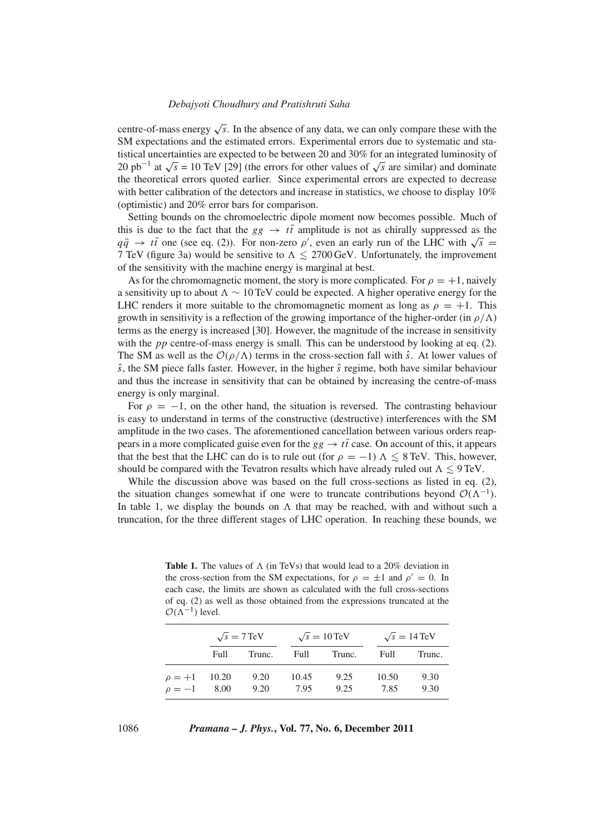centre-of-mass energy  $\sqrt{s}$ . In the absence of any data, we can only compare these with the SM expectations and the estimated errors. Experimental errors due to systematic and statistical uncertainties are expected to be between 20 and 30% for an integrated luminosity of 20 pb−<sup>1</sup> at <sup>√</sup>*<sup>s</sup>* = 10 TeV [29] (the errors for other values of <sup>√</sup>*<sup>s</sup>* are similar) and dominate the theoretical errors quoted earlier. Since experimental errors are expected to decrease with better calibration of the detectors and increase in statistics, we choose to display 10% (optimistic) and 20% error bars for comparison.

Setting bounds on the chromoelectric dipole moment now becomes possible. Much of this is due to the fact that the  $gg \to t\bar{t}$  amplitude is not as chirally suppressed as the this is due to the fact that the  $gg \to it$  amplitude is not as chirally suppressed as the  $q\bar{q} \to t\bar{t}$  one (see eq. (2)). For non-zero  $\rho'$ , even an early run of the LHC with  $\sqrt{s} =$ 7 TeV (figure 3a) would be sensitive to  $\Lambda \leq 2700 \,\text{GeV}$ . Unfortunately, the improvement of the sensitivity with the machine energy is marginal at best.

As for the chromomagnetic moment, the story is more complicated. For  $\rho = +1$ , naively a sensitivity up to about  $\Lambda \sim 10 \,\text{TeV}$  could be expected. A higher operative energy for the LHC renders it more suitable to the chromomagnetic moment as long as  $\rho = +1$ . This growth in sensitivity is a reflection of the growing importance of the higher-order (in  $\rho/\Lambda$ ) terms as the energy is increased [30]. However, the magnitude of the increase in sensitivity with the *pp* centre-of-mass energy is small. This can be understood by looking at eq. (2). The SM as well as the  $\mathcal{O}(\rho/\Lambda)$  terms in the cross-section fall with  $\hat{s}$ . At lower values of *s*ˆ, the SM piece falls faster. However, in the higher *s*ˆ regime, both have similar behaviour and thus the increase in sensitivity that can be obtained by increasing the centre-of-mass energy is only marginal.

For  $\rho = -1$ , on the other hand, the situation is reversed. The contrasting behaviour is easy to understand in terms of the constructive (destructive) interferences with the SM amplitude in the two cases. The aforementioned cancellation between various orders reappears in a more complicated guise even for the  $gg \to t\bar{t}$  case. On account of this, it appears that the best that the LHC can do is to rule out (for  $\rho = -1$ )  $\Lambda \le 8$  TeV. This, however, should be compared with the Tevatron results which have already ruled out  $\Lambda \lesssim 9\,\text{TeV}$ .

While the discussion above was based on the full cross-sections as listed in eq. (2), the situation changes somewhat if one were to truncate contributions beyond  $O(\Lambda^{-1})$ . In table 1, we display the bounds on  $\Lambda$  that may be reached, with and without such a truncation, for the three different stages of LHC operation. In reaching these bounds, we

**Table 1.** The values of  $\Lambda$  (in TeVs) that would lead to a 20% deviation in the cross-section from the SM expectations, for  $\rho = \pm 1$  and  $\rho' = 0$ . In each case, the limits are shown as calculated with the full cross-sections of eq. (2) as well as those obtained from the expressions truncated at the  $\mathcal{O}(\Lambda^{-1})$  level.

|                            | $\sqrt{s}$ = 7 TeV |              | $\sqrt{s} = 10 \,\text{TeV}$ |              | $\sqrt{s} = 14 \text{ TeV}$ |              |
|----------------------------|--------------------|--------------|------------------------------|--------------|-----------------------------|--------------|
|                            | Full.              | Trunc.       | Full.                        | Trunc.       | Full.                       | Trunc.       |
| $\rho = +1$<br>$\rho = -1$ | 10.20<br>8.00      | 9.20<br>9.20 | 10.45<br>7.95                | 9.25<br>9.25 | 10.50<br>7.85               | 9.30<br>9.30 |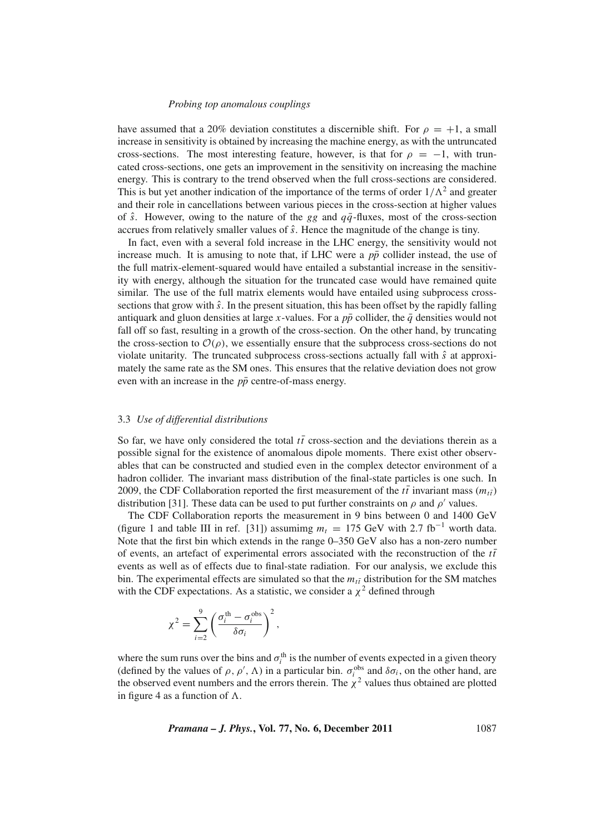have assumed that a 20% deviation constitutes a discernible shift. For  $\rho = +1$ , a small increase in sensitivity is obtained by increasing the machine energy, as with the untruncated cross-sections. The most interesting feature, however, is that for  $\rho = -1$ , with truncated cross-sections, one gets an improvement in the sensitivity on increasing the machine energy. This is contrary to the trend observed when the full cross-sections are considered. This is but yet another indication of the importance of the terms of order  $1/\Lambda^2$  and greater and their role in cancellations between various pieces in the cross-section at higher values of  $\hat{s}$ . However, owing to the nature of the *gg* and  $q\bar{q}$ -fluxes, most of the cross-section accrues from relatively smaller values of  $\hat{s}$ . Hence the magnitude of the change is tiny.

In fact, even with a several fold increase in the LHC energy, the sensitivity would not increase much. It is amusing to note that, if LHC were a  $p\bar{p}$  collider instead, the use of the full matrix-element-squared would have entailed a substantial increase in the sensitivity with energy, although the situation for the truncated case would have remained quite similar. The use of the full matrix elements would have entailed using subprocess crosssections that grow with  $\hat{s}$ . In the present situation, this has been offset by the rapidly falling antiquark and gluon densities at large *x*-values. For a  $p\bar{p}$  collider, the  $\bar{q}$  densities would not fall off so fast, resulting in a growth of the cross-section. On the other hand, by truncating the cross-section to  $\mathcal{O}(\rho)$ , we essentially ensure that the subprocess cross-sections do not violate unitarity. The truncated subprocess cross-sections actually fall with *s*ˆ at approximately the same rate as the SM ones. This ensures that the relative deviation does not grow even with an increase in the  $p\bar{p}$  centre-of-mass energy.

### 3.3 *Use of differential distributions*

So far, we have only considered the total  $t\bar{t}$  cross-section and the deviations therein as a possible signal for the existence of anomalous dipole moments. There exist other observables that can be constructed and studied even in the complex detector environment of a hadron collider. The invariant mass distribution of the final-state particles is one such. In 2009, the CDF Collaboration reported the first measurement of the  $t\bar{t}$  invariant mass  $(m_{t\bar{t}})$ distribution [31]. These data can be used to put further constraints on  $\rho$  and  $\rho'$  values.

The CDF Collaboration reports the measurement in 9 bins between 0 and 1400 GeV (figure 1 and table III in ref. [31]) assuming  $m_t = 175$  GeV with 2.7 fb<sup>-1</sup> worth data. Note that the first bin which extends in the range 0–350 GeV also has a non-zero number of events, an artefact of experimental errors associated with the reconstruction of the  $t\bar{t}$ events as well as of effects due to final-state radiation. For our analysis, we exclude this bin. The experimental effects are simulated so that the  $m_{t\bar{t}}$  distribution for the SM matches with the CDF expectations. As a statistic, we consider a  $\chi^2$  defined through

$$
\chi^2 = \sum_{i=2}^9 \left( \frac{\sigma_i^{\text{th}} - \sigma_i^{\text{obs}}}{\delta \sigma_i} \right)^2,
$$

where the sum runs over the bins and  $\sigma_i^{\text{th}}$  is the number of events expected in a given theory (defined by the values of  $\rho$ ,  $\rho'$ ,  $\Lambda$ ) in a particular bin.  $\sigma_i^{obs}$  and  $\delta \sigma_i$ , on the other hand, are the observed event numbers and the errors therein. The  $\chi^2$  values thus obtained are plotted in figure 4 as a function of  $\Lambda$ .

*Pramana – J. Phys.***, Vol. 77, No. 6, December 2011** 1087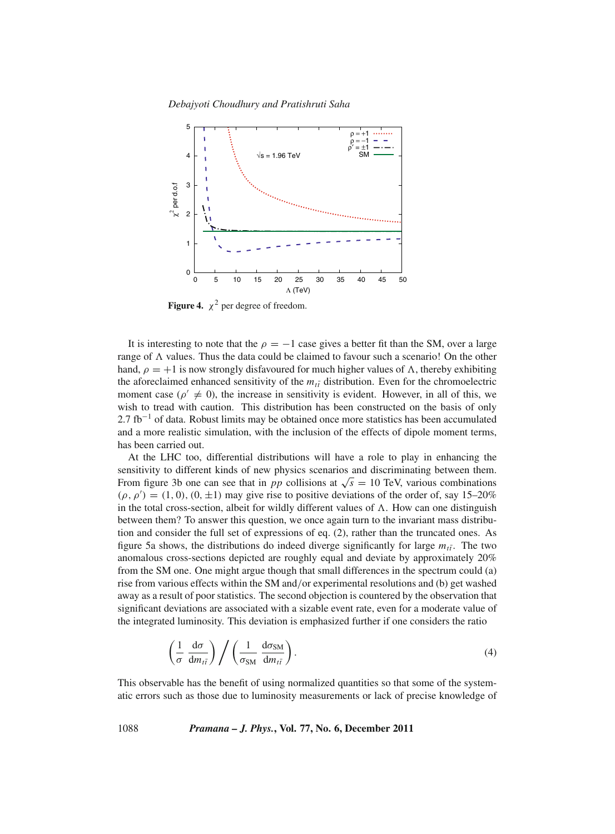*Debajyoti Choudhury and Pratishruti Saha*



**Figure 4.**  $\chi^2$  per degree of freedom.

It is interesting to note that the  $\rho = -1$  case gives a better fit than the SM, over a large range of  $\Lambda$  values. Thus the data could be claimed to favour such a scenario! On the other hand,  $\rho = +1$  is now strongly disfavoured for much higher values of  $\Lambda$ , thereby exhibiting the aforeclaimed enhanced sensitivity of the  $m_{t\bar{t}}$  distribution. Even for the chromoelectric moment case ( $\rho' \neq 0$ ), the increase in sensitivity is evident. However, in all of this, we wish to tread with caution. This distribution has been constructed on the basis of only  $2.7$  fb<sup>-1</sup> of data. Robust limits may be obtained once more statistics has been accumulated and a more realistic simulation, with the inclusion of the effects of dipole moment terms, has been carried out.

At the LHC too, differential distributions will have a role to play in enhancing the sensitivity to different kinds of new physics scenarios and discriminating between them. From figure 3b one can see that in *pp* collisions at  $\sqrt{s} = 10$  TeV, various combinations  $(\rho, \rho') = (1, 0), (0, \pm 1)$  may give rise to positive deviations of the order of, say 15–20% in the total cross-section, albeit for wildly different values of  $\Lambda$ . How can one distinguish between them? To answer this question, we once again turn to the invariant mass distribution and consider the full set of expressions of eq. (2), rather than the truncated ones. As figure 5a shows, the distributions do indeed diverge significantly for large  $m_{t\bar{t}}$ . The two anomalous cross-sections depicted are roughly equal and deviate by approximately 20% from the SM one. One might argue though that small differences in the spectrum could (a) rise from various effects within the SM and/or experimental resolutions and (b) get washed away as a result of poor statistics. The second objection is countered by the observation that significant deviations are associated with a sizable event rate, even for a moderate value of the integrated luminosity. This deviation is emphasized further if one considers the ratio

$$
\left(\frac{1}{\sigma} \frac{d\sigma}{dm_{t\bar{t}}}\right) / \left(\frac{1}{\sigma_{SM}} \frac{d\sigma_{SM}}{dm_{t\bar{t}}}\right).
$$
\n(4)

This observable has the benefit of using normalized quantities so that some of the systematic errors such as those due to luminosity measurements or lack of precise knowledge of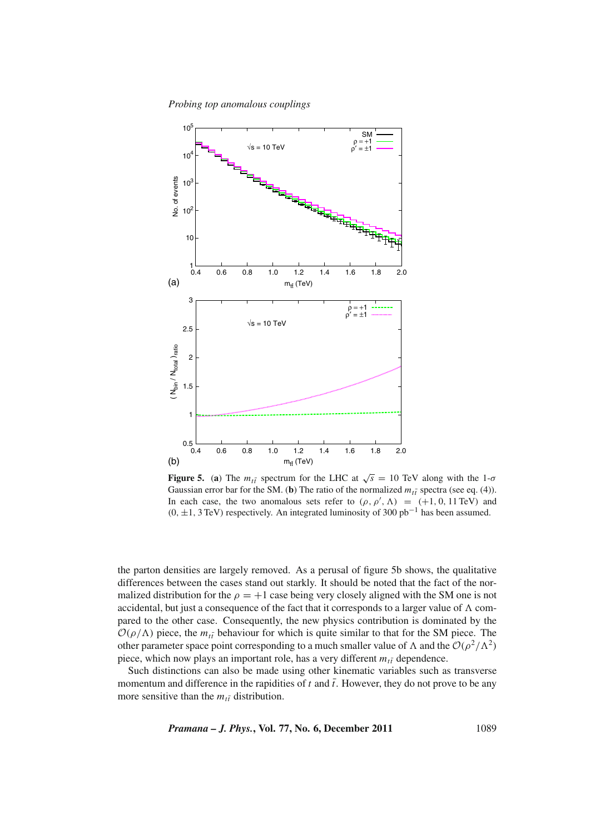*Probing top anomalous couplings*



**Figure 5.** (a) The  $m_{t\bar{t}}$  spectrum for the LHC at  $\sqrt{s} = 10$  TeV along with the 1- $\sigma$ Gaussian error bar for the SM. (**b**) The ratio of the normalized  $m_{t\bar{t}}$  spectra (see eq. (4)). In each case, the two anomalous sets refer to  $(\rho, \rho', \Lambda) = (+1, 0, 11 \text{ TeV})$  and  $(0, \pm 1, 3 \text{ TeV})$  respectively. An integrated luminosity of 300 pb<sup>-1</sup> has been assumed.

the parton densities are largely removed. As a perusal of figure 5b shows, the qualitative differences between the cases stand out starkly. It should be noted that the fact of the normalized distribution for the  $\rho = +1$  case being very closely aligned with the SM one is not accidental, but just a consequence of the fact that it corresponds to a larger value of  $\Lambda$  compared to the other case. Consequently, the new physics contribution is dominated by the  $\mathcal{O}(\rho/\Lambda)$  piece, the  $m_{t\bar{t}}$  behaviour for which is quite similar to that for the SM piece. The other parameter space point corresponding to a much smaller value of  $\Lambda$  and the  $\mathcal{O}(\rho^2/\Lambda^2)$ piece, which now plays an important role, has a very different  $m_{t\bar{t}}$  dependence.

Such distinctions can also be made using other kinematic variables such as transverse momentum and difference in the rapidities of  $t$  and  $\bar{t}$ . However, they do not prove to be any more sensitive than the  $m_{t\bar{t}}$  distribution.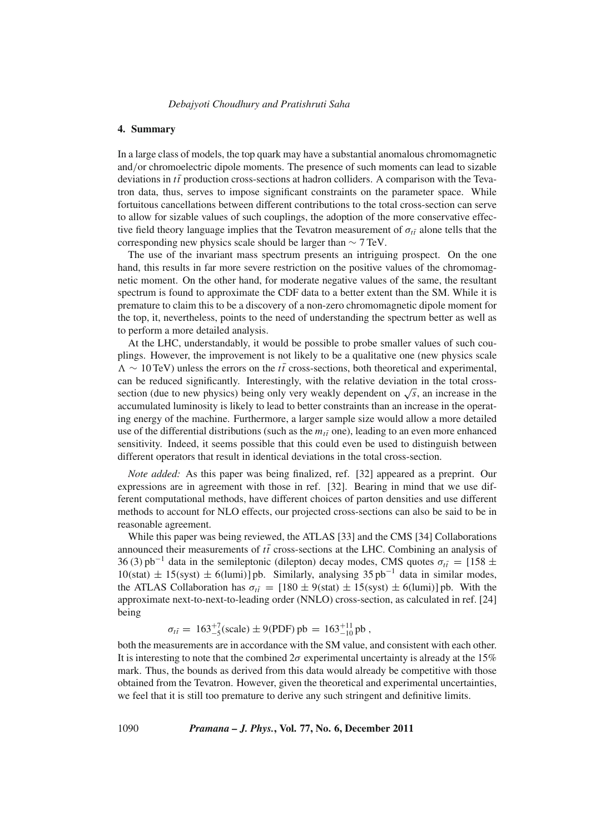## **4. Summary**

In a large class of models, the top quark may have a substantial anomalous chromomagnetic and/or chromoelectric dipole moments. The presence of such moments can lead to sizable deviations in  $t\bar{t}$  production cross-sections at hadron colliders. A comparison with the Tevatron data, thus, serves to impose significant constraints on the parameter space. While fortuitous cancellations between different contributions to the total cross-section can serve to allow for sizable values of such couplings, the adoption of the more conservative effective field theory language implies that the Tevatron measurement of  $\sigma_{t\bar{t}}$  alone tells that the corresponding new physics scale should be larger than ∼ 7 TeV.

The use of the invariant mass spectrum presents an intriguing prospect. On the one hand, this results in far more severe restriction on the positive values of the chromomagnetic moment. On the other hand, for moderate negative values of the same, the resultant spectrum is found to approximate the CDF data to a better extent than the SM. While it is premature to claim this to be a discovery of a non-zero chromomagnetic dipole moment for the top, it, nevertheless, points to the need of understanding the spectrum better as well as to perform a more detailed analysis.

At the LHC, understandably, it would be possible to probe smaller values of such couplings. However, the improvement is not likely to be a qualitative one (new physics scale  $\Lambda \sim 10 \,\text{TeV}$ ) unless the errors on the  $t\bar{t}$  cross-sections, both theoretical and experimental, can be reduced significantly. Interestingly, with the relative deviation in the total crosssection (due to new physics) being only very weakly dependent on  $\sqrt{s}$ , an increase in the accumulated luminosity is likely to lead to better constraints than an increase in the operating energy of the machine. Furthermore, a larger sample size would allow a more detailed use of the differential distributions (such as the  $m_{t\bar{t}}$  one), leading to an even more enhanced sensitivity. Indeed, it seems possible that this could even be used to distinguish between different operators that result in identical deviations in the total cross-section.

*Note added:* As this paper was being finalized, ref. [32] appeared as a preprint. Our expressions are in agreement with those in ref. [32]. Bearing in mind that we use different computational methods, have different choices of parton densities and use different methods to account for NLO effects, our projected cross-sections can also be said to be in reasonable agreement.

While this paper was being reviewed, the ATLAS [33] and the CMS [34] Collaborations announced their measurements of  $t\bar{t}$  cross-sections at the LHC. Combining an analysis of 36 (3) pb<sup>−</sup><sup>1</sup> data in the semileptonic (dilepton) decay modes, CMS quotes σ*tt* ¯ = [158 ±  $10(stat) \pm 15(syst) \pm 6(lumi)$ ] pb. Similarly, analysing 35 pb<sup>-1</sup> data in similar modes, the ATLAS Collaboration has  $\sigma_{t\bar{t}} = [180 \pm 9 \text{(stat)} \pm 15 \text{(syst)} \pm 6 \text{(lumi)}]$  pb. With the approximate next-to-next-to-leading order (NNLO) cross-section, as calculated in ref. [24] being

$$
\sigma_{t\bar{t}} = 163^{+7}_{-5} \text{(scale)} \pm 9 \text{(PDF)} \text{ pb} = 163^{+11}_{-10} \text{ pb},
$$

both the measurements are in accordance with the SM value, and consistent with each other. It is interesting to note that the combined  $2\sigma$  experimental uncertainty is already at the 15% mark. Thus, the bounds as derived from this data would already be competitive with those obtained from the Tevatron. However, given the theoretical and experimental uncertainties, we feel that it is still too premature to derive any such stringent and definitive limits.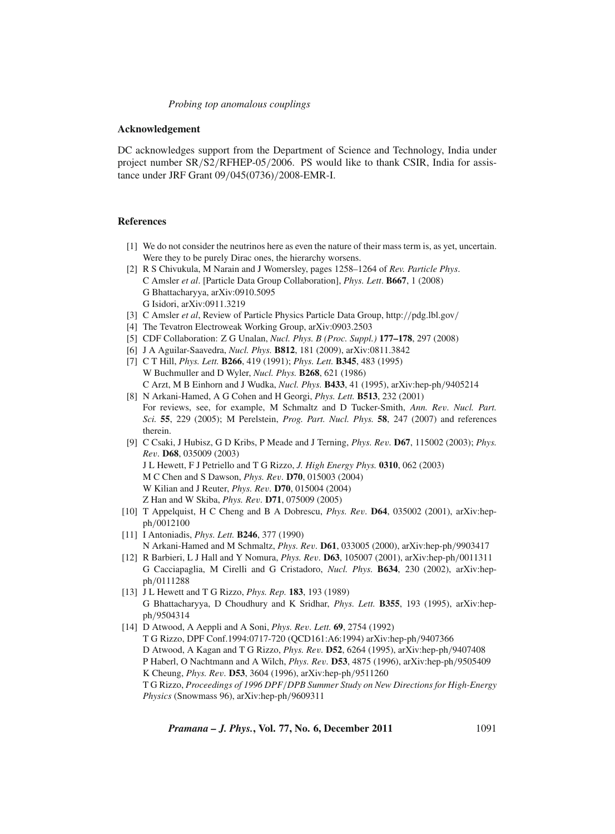# **Acknowledgement**

DC acknowledges support from the Department of Science and Technology, India under project number SR/S2/RFHEP-05/2006. PS would like to thank CSIR, India for assistance under JRF Grant 09/045(0736)/2008-EMR-I.

### **References**

- [1] We do not consider the neutrinos here as even the nature of their mass term is, as yet, uncertain. Were they to be purely Dirac ones, the hierarchy worsens.
- [2] R S Chivukula, M Narain and J Womersley, pages 1258–1264 of *Rev. Particle Phys*. C Amsler *et al*. [Particle Data Group Collaboration], *Phys. Lett*. **B667**, 1 (2008) G Bhattacharyya, arXiv:0910.5095 G Isidori, arXiv:0911.3219
- [3] C Amsler *et al*, Review of Particle Physics Particle Data Group, http://pdg.lbl.gov/
- [4] The Tevatron Electroweak Working Group, arXiv:0903.2503
- [5] CDF Collaboration: Z G Unalan, *Nucl. Phys. B (Proc. Suppl.)* **177–178**, 297 (2008)
- [6] J A Aguilar-Saavedra, *Nucl. Phys.* **B812**, 181 (2009), arXiv:0811.3842
- [7] C T Hill, *Phys. Lett.* **B266**, 419 (1991); *Phys. Lett.* **B345**, 483 (1995) W Buchmuller and D Wyler, *Nucl. Phys.* **B268**, 621 (1986) C Arzt, M B Einhorn and J Wudka, *Nucl. Phys.* **B433**, 41 (1995), arXiv:hep-ph/9405214
- [8] N Arkani-Hamed, A G Cohen and H Georgi, *Phys. Lett.* **B513**, 232 (2001) For reviews, see, for example, M Schmaltz and D Tucker-Smith, *Ann. Re*v*. Nucl. Part. Sci.* **55**, 229 (2005); M Perelstein, *Prog. Part. Nucl. Phys.* **58**, 247 (2007) and references therein.
- [9] C Csaki, J Hubisz, G D Kribs, P Meade and J Terning, *Phys. Re*v*.* **D67**, 115002 (2003); *Phys. Re*v*.* **D68**, 035009 (2003) J L Hewett, F J Petriello and T G Rizzo, *J. High Energy Phys.* **0310**, 062 (2003) M C Chen and S Dawson, *Phys. Re*v*.* **D70**, 015003 (2004) W Kilian and J Reuter, *Phys. Re*v*.* **D70**, 015004 (2004) Z Han and W Skiba, *Phys. Re*v*.* **D71**, 075009 (2005)
- [10] T Appelquist, H C Cheng and B A Dobrescu, *Phys. Re*v*.* **D64**, 035002 (2001), arXiv:hepph/0012100
- [11] I Antoniadis, *Phys. Lett.* **B246**, 377 (1990) N Arkani-Hamed and M Schmaltz, *Phys. Re*v*.* **D61**, 033005 (2000), arXiv:hep-ph/9903417
- [12] R Barbieri, L J Hall and Y Nomura, *Phys. Re*v*.* **D63**, 105007 (2001), arXiv:hep-ph/0011311 G Cacciapaglia, M Cirelli and G Cristadoro, *Nucl. Phys.* **B634**, 230 (2002), arXiv:hepph/0111288
- [13] J L Hewett and T G Rizzo, *Phys. Rep.* **183**, 193 (1989) G Bhattacharyya, D Choudhury and K Sridhar, *Phys. Lett.* **B355**, 193 (1995), arXiv:hepph/9504314
- [14] D Atwood, A Aeppli and A Soni, *Phys. Re*v*. Lett.* **69**, 2754 (1992) T G Rizzo, DPF Conf.1994:0717-720 (QCD161:A6:1994) arXiv:hep-ph/9407366 D Atwood, A Kagan and T G Rizzo, *Phys. Re*v*.* **D52**, 6264 (1995), arXiv:hep-ph/9407408 P Haberl, O Nachtmann and A Wilch, *Phys. Re*v*.* **D53**, 4875 (1996), arXiv:hep-ph/9505409 K Cheung, *Phys. Re*v*.* **D53**, 3604 (1996), arXiv:hep-ph/9511260 T G Rizzo, *Proceedings of 1996 DPF*/*DPB Summer Study on New Directions for High-Energy Physics* (Snowmass 96), arXiv:hep-ph/9609311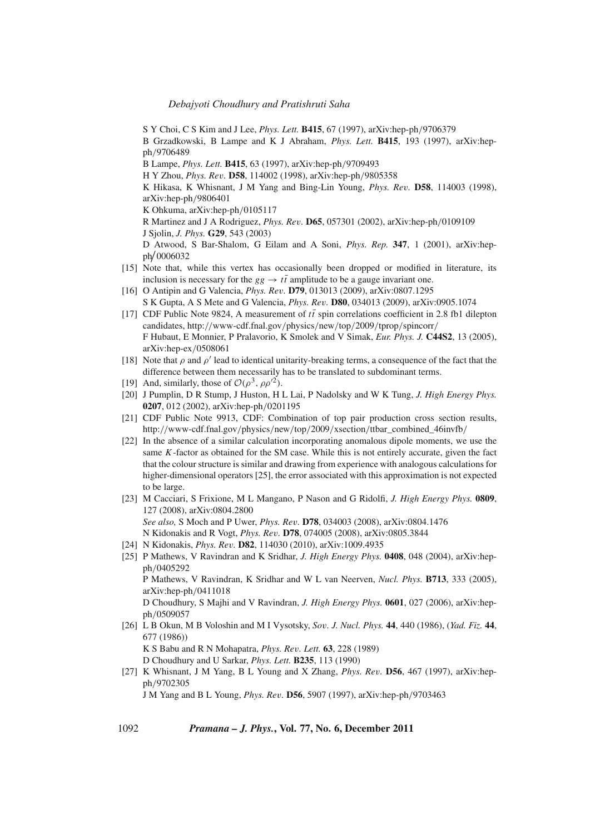S Y Choi, C S Kim and J Lee, *Phys. Lett.* **B415**, 67 (1997), arXiv:hep-ph/9706379 B Grzadkowski, B Lampe and K J Abraham, *Phys. Lett.* **B415**, 193 (1997), arXiv:hepph/9706489 B Lampe, *Phys. Lett.* **B415**, 63 (1997), arXiv:hep-ph/9709493 H Y Zhou, *Phys. Re*v*.* **D58**, 114002 (1998), arXiv:hep-ph/9805358 K Hikasa, K Whisnant, J M Yang and Bing-Lin Young, *Phys. Re*v*.* **D58**, 114003 (1998), arXiv:hep-ph/9806401 K Ohkuma, arXiv:hep-ph/0105117 R Martinez and J A Rodriguez, *Phys. Re*v*.* **D65**, 057301 (2002), arXiv:hep-ph/0109109 J Sjolin, *J. Phys.* **G29**, 543 (2003) D Atwood, S Bar-Shalom, G Eilam and A Soni, *Phys. Rep.* **347**, 1 (2001), arXiv:hepph 0006032 [15] Note that, while this vertex has occasionally been dropped or modified in literature, its

- inclusion is necessary for the  $gg \to t\bar{t}$  amplitude to be a gauge invariant one. [16] O Antipin and G Valencia, *Phys. Re*v*.* **D79**, 013013 (2009), arXiv:0807.1295
- S K Gupta, A S Mete and G Valencia, *Phys. Re*v*.* **D80**, 034013 (2009), arXiv:0905.1074
- [17] CDF Public Note 9824, A measurement of  $t\bar{t}$  spin correlations coefficient in 2.8 fb1 dilepton candidates, http://www-cdf.fnal.gov/physics/new/top/2009/tprop/spincorr/ F Hubaut, E Monnier, P Pralavorio, K Smolek and V Simak, *Eur. Phys. J.* **C44S2**, 13 (2005), arXiv:hep-ex/0508061
- [18] Note that  $\rho$  and  $\rho'$  lead to identical unitarity-breaking terms, a consequence of the fact that the difference between them necessarily has to be translated to subdominant terms.
- [19] And, similarly, those of  $\mathcal{O}(\rho^3, \rho \rho^2)$ .
- [20] J Pumplin, D R Stump, J Huston, H L Lai, P Nadolsky and W K Tung, *J. High Energy Phys.* **0207**, 012 (2002), arXiv:hep-ph/0201195
- [21] CDF Public Note 9913, CDF: Combination of top pair production cross section results, http://www-cdf.fnal.gov/physics/new/top/2009/xsection/ttbar\_combined\_46invfb/
- [22] In the absence of a similar calculation incorporating anomalous dipole moments, we use the same *K*-factor as obtained for the SM case. While this is not entirely accurate, given the fact that the colour structure is similar and drawing from experience with analogous calculations for higher-dimensional operators [25], the error associated with this approximation is not expected to be large.
- [23] M Cacciari, S Frixione, M L Mangano, P Nason and G Ridolfi, *J. High Energy Phys.* **0809**, 127 (2008), arXiv:0804.2800 *See also,* S Moch and P Uwer, *Phys. Re*v*.* **D78**, 034003 (2008), arXiv:0804.1476 N Kidonakis and R Vogt, *Phys. Re*v*.* **D78**, 074005 (2008), arXiv:0805.3844
- [24] N Kidonakis, *Phys. Re*v*.* **D82**, 114030 (2010), arXiv:1009.4935
- [25] P Mathews, V Ravindran and K Sridhar, *J. High Energy Phys.* **0408**, 048 (2004), arXiv:hepph/0405292 P Mathews, V Ravindran, K Sridhar and W L van Neerven, *Nucl. Phys.* **B713**, 333 (2005),

arXiv:hep-ph/0411018

D Choudhury, S Majhi and V Ravindran, *J. High Energy Phys.* **0601**, 027 (2006), arXiv:hepph/0509057

[26] L B Okun, M B Voloshin and M I Vysotsky, *So*v*. J. Nucl. Phys.* **44**, 440 (1986), (*Yad. Fiz.* **44**, 677 (1986))

K S Babu and R N Mohapatra, *Phys. Re*v*. Lett.* **63**, 228 (1989) D Choudhury and U Sarkar, *Phys. Lett.* **B235**, 113 (1990)

[27] K Whisnant, J M Yang, B L Young and X Zhang, *Phys. Re*v*.* **D56**, 467 (1997), arXiv:hepph/9702305

J M Yang and B L Young, *Phys. Re*v*.* **D56**, 5907 (1997), arXiv:hep-ph/9703463